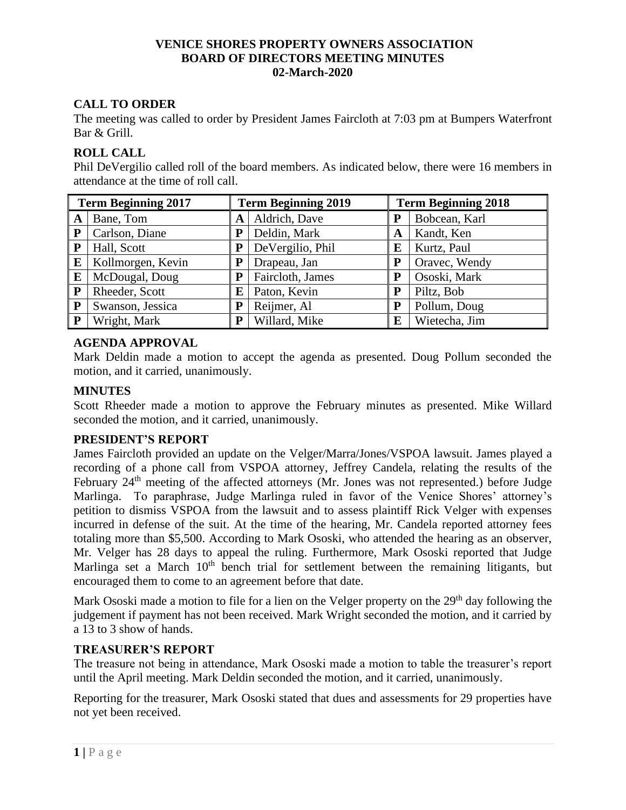# **VENICE SHORES PROPERTY OWNERS ASSOCIATION BOARD OF DIRECTORS MEETING MINUTES 02-March-2020**

# **CALL TO ORDER**

The meeting was called to order by President James Faircloth at 7:03 pm at Bumpers Waterfront Bar & Grill.

# **ROLL CALL**

Phil DeVergilio called roll of the board members. As indicated below, there were 16 members in attendance at the time of roll call.

| <b>Term Beginning 2017</b> |                   | <b>Term Beginning 2019</b> |                  | <b>Term Beginning 2018</b> |               |
|----------------------------|-------------------|----------------------------|------------------|----------------------------|---------------|
| A                          | Bane, Tom         | A                          | Aldrich, Dave    |                            | Bobcean, Karl |
| P                          | Carlson, Diane    | P                          | Deldin, Mark     | A                          | Kandt, Ken    |
| ${\bf P}$                  | Hall, Scott       | P                          | DeVergilio, Phil | E                          | Kurtz, Paul   |
| E                          | Kollmorgen, Kevin | P                          | Drapeau, Jan     | P                          | Oravec, Wendy |
| E                          | McDougal, Doug    | Р                          | Faircloth, James | P                          | Ososki, Mark  |
| P                          | Rheeder, Scott    | Е                          | Paton, Kevin     | P                          | Piltz, Bob    |
| ${\bf P}$                  | Swanson, Jessica  | P                          | Reijmer, Al      | P                          | Pollum, Doug  |
| P                          | Wright, Mark      | P                          | Willard, Mike    | E                          | Wietecha, Jim |

# **AGENDA APPROVAL**

Mark Deldin made a motion to accept the agenda as presented. Doug Pollum seconded the motion, and it carried, unanimously.

# **MINUTES**

Scott Rheeder made a motion to approve the February minutes as presented. Mike Willard seconded the motion, and it carried, unanimously.

# **PRESIDENT'S REPORT**

James Faircloth provided an update on the Velger/Marra/Jones/VSPOA lawsuit. James played a recording of a phone call from VSPOA attorney, Jeffrey Candela, relating the results of the February 24<sup>th</sup> meeting of the affected attorneys (Mr. Jones was not represented.) before Judge Marlinga. To paraphrase, Judge Marlinga ruled in favor of the Venice Shores' attorney's petition to dismiss VSPOA from the lawsuit and to assess plaintiff Rick Velger with expenses incurred in defense of the suit. At the time of the hearing, Mr. Candela reported attorney fees totaling more than \$5,500. According to Mark Ososki, who attended the hearing as an observer, Mr. Velger has 28 days to appeal the ruling. Furthermore, Mark Ososki reported that Judge Marlinga set a March  $10<sup>th</sup>$  bench trial for settlement between the remaining litigants, but encouraged them to come to an agreement before that date.

Mark Ososki made a motion to file for a lien on the Velger property on the  $29<sup>th</sup>$  day following the judgement if payment has not been received. Mark Wright seconded the motion, and it carried by a 13 to 3 show of hands.

# **TREASURER'S REPORT**

The treasure not being in attendance, Mark Ososki made a motion to table the treasurer's report until the April meeting. Mark Deldin seconded the motion, and it carried, unanimously.

Reporting for the treasurer, Mark Ososki stated that dues and assessments for 29 properties have not yet been received.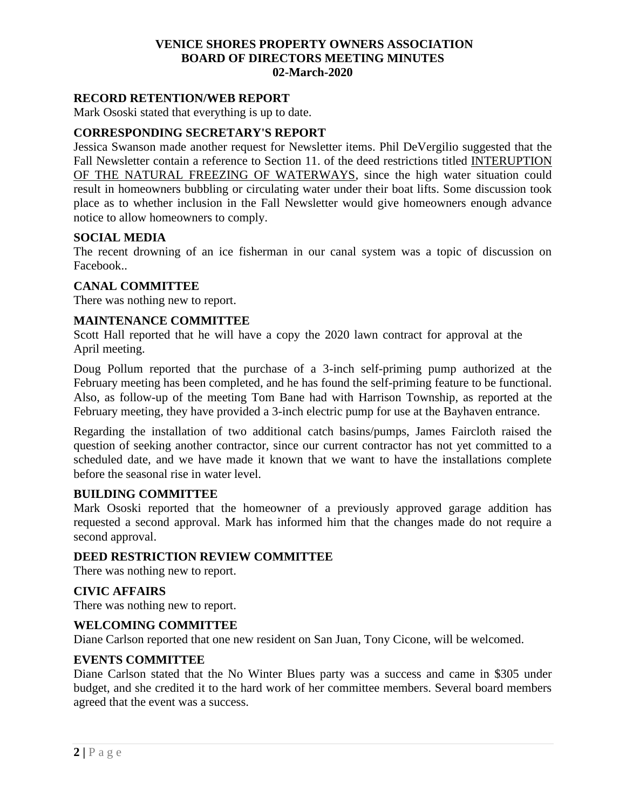# **VENICE SHORES PROPERTY OWNERS ASSOCIATION BOARD OF DIRECTORS MEETING MINUTES 02-March-2020**

### **RECORD RETENTION/WEB REPORT**

Mark Ososki stated that everything is up to date.

# **CORRESPONDING SECRETARY'S REPORT**

Jessica Swanson made another request for Newsletter items. Phil DeVergilio suggested that the Fall Newsletter contain a reference to Section 11. of the deed restrictions titled INTERUPTION OF THE NATURAL FREEZING OF WATERWAYS, since the high water situation could result in homeowners bubbling or circulating water under their boat lifts. Some discussion took place as to whether inclusion in the Fall Newsletter would give homeowners enough advance notice to allow homeowners to comply.

### **SOCIAL MEDIA**

The recent drowning of an ice fisherman in our canal system was a topic of discussion on Facebook..

#### **CANAL COMMITTEE**

There was nothing new to report.

### **MAINTENANCE COMMITTEE**

Scott Hall reported that he will have a copy the 2020 lawn contract for approval at the April meeting.

Doug Pollum reported that the purchase of a 3-inch self-priming pump authorized at the February meeting has been completed, and he has found the self-priming feature to be functional. Also, as follow-up of the meeting Tom Bane had with Harrison Township, as reported at the February meeting, they have provided a 3-inch electric pump for use at the Bayhaven entrance.

Regarding the installation of two additional catch basins/pumps, James Faircloth raised the question of seeking another contractor, since our current contractor has not yet committed to a scheduled date, and we have made it known that we want to have the installations complete before the seasonal rise in water level.

#### **BUILDING COMMITTEE**

Mark Ososki reported that the homeowner of a previously approved garage addition has requested a second approval. Mark has informed him that the changes made do not require a second approval.

# **DEED RESTRICTION REVIEW COMMITTEE**

There was nothing new to report.

# **CIVIC AFFAIRS**

There was nothing new to report.

#### **WELCOMING COMMITTEE**

Diane Carlson reported that one new resident on San Juan, Tony Cicone, will be welcomed.

#### **EVENTS COMMITTEE**

Diane Carlson stated that the No Winter Blues party was a success and came in \$305 under budget, and she credited it to the hard work of her committee members. Several board members agreed that the event was a success.